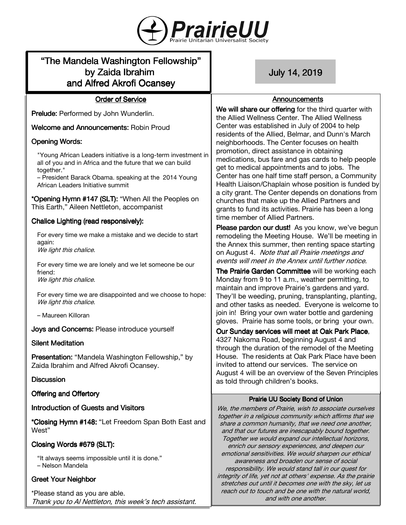

# "The Mandela Washington Fellowship" by Zaida Ibrahim and Alfred Akrofi Ocansey

July14,2019

### Announcements

**Order of Service** 

Prelude: Performed by John Wunderlin.

Welcome and Announcements: Robin Proud

# **Opening Words:**

"Young African Leaders initiative is a long-term investment in all of you and in Africa and the future that we can build together."

– President Barack Obama. speaking at the 2014 Young African Leaders Initiative summit

\*Opening Hymn #147 (SLT): "When All the Peoples on This Earth," Aileen Nettleton, accompanist

# Chalice Lighting (read responsively):

For every time we make a mistake and we decide to start again: We light this chalice.

For every time we are lonely and we let someone be our friend: We light this chalice.

For every time we are disappointed and we choose to hope: We light this chalice.

– Maureen Killoran

Joys and Concerns: Please introduce yourself

# **Silent Meditation**

Presentation: "Mandela Washington Fellowship," by Zaida Ibrahim and Alfred Akrofi Ocansey.

# **Discussion**

Offering and Offertory

# Introduction of Guests and Visitors

\*Closing Hymn #148: "Let Freedom Span Both East and West"

# Closing Words #679 (SLT):

"It always seems impossible until it is done." – Nelson Mandela

# **Greet Your Neighbor**

\*Please stand as you are able. Thank you to Al Nettleton, this week's tech assistant. We will share our offering for the third quarter with the Allied Wellness Center. The Allied Wellness Center was established in July of 2004 to help residents of the Allied, Belmar, and Dunn's March neighborhoods. The Center focuses on health promotion, direct assistance in obtaining medications, bus fare and gas cards to help people get to medical appointments and to jobs. The Center has one half time staff person, a Community Health Liaison/Chaplain whose position is funded by a city grant. The Center depends on donations from churches that make up the Allied Partners and grants to fund its activities. Prairie has been a long time member of Allied Partners.

Please pardon our dust! As you know, we've begun remodeling the Meeting House. We'll be meeting in the Annex this summer, then renting space starting on August 4. Note that all Prairie meetings and events will meet in the Annex until further notice.

The Prairie Garden Committee will be working each Monday from 9 to 11 a.m., weather permitting, to maintain and improve Prairie's gardens and yard. They'll be weeding, pruning, transplanting, planting, and other tasks as needed. Everyone is welcome to join in! Bring your own water bottle and gardening gloves. Prairie has some tools, or bring your own.

Our Sunday services will meet at Oak Park Place, 4327 Nakoma Road, beginning August 4 and through the duration of the remodel of the Meeting House. The residents at Oak Park Place have been invited to attend our services. The service on August 4 will be an overview of the Seven Principles as told through children's books.

# Prairie UU Society Bond of Union

We, the members of Prairie, wish to associate ourselves together in a religious community which affirms that we share a common humanity, that we need one another, and that our futures are inescapably bound together. Together we would expand our intellectual horizons, enrich our sensory experiences, and deepen our emotional sensitivities. We would sharpen our ethical awareness and broaden our sense of social responsibility. We would stand tall in our quest for integrity of life, yet not at others' expense. As the prairie stretches out until it becomes one with the sky, let us reach out to touch and be one with the natural world, and with one another.